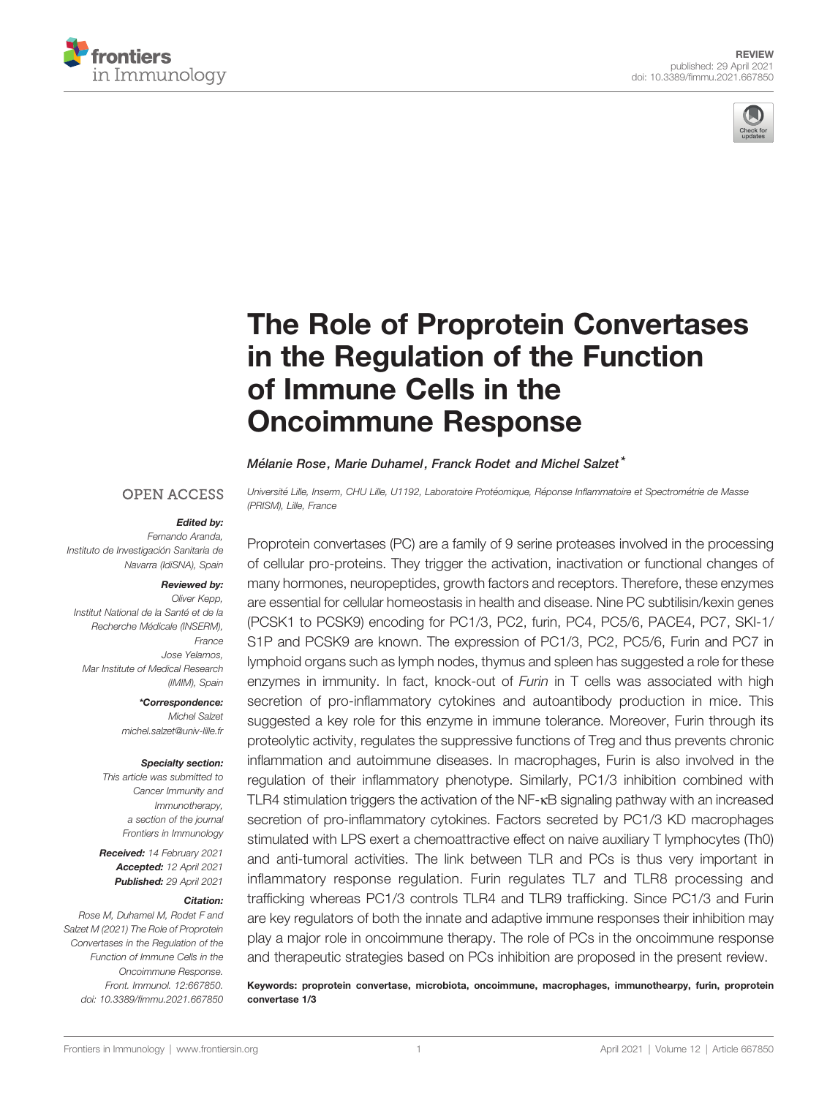



# [The Role of Proprotein Convertases](https://www.frontiersin.org/articles/10.3389/fimmu.2021.667850/full) [in the Regulation of the Function](https://www.frontiersin.org/articles/10.3389/fimmu.2021.667850/full) [of Immune Cells in the](https://www.frontiersin.org/articles/10.3389/fimmu.2021.667850/full) [Oncoimmune Response](https://www.frontiersin.org/articles/10.3389/fimmu.2021.667850/full)

#### Mélanie Rose, Marie Duhamel, Franck Rodet and Michel Salzet<sup>\*</sup>

#### **OPEN ACCESS**

#### Edited by:

*Fernando Aranda, Instituto de Investigacio*´ *n Sanitaria de Navarra (IdiSNA), Spain*

### Reviewed by:

*Oliver Kepp, Institut National de la Sante*´ *et de la Recherche Me*´ *dicale (INSERM), France Jose Yelamos, Mar Institute of Medical Research (IMIM), Spain*

#### \*Correspondence:

*Michel Salzet [michel.salzet@univ-lille.fr](mailto:michel.salzet@univ-lille.fr)*

#### Specialty section:

*This article was submitted to Cancer Immunity and Immunotherapy, a section of the journal Frontiers in Immunology*

Received: *14 February 2021* Accepted: *12 April 2021* Published: *29 April 2021*

#### Citation:

*Rose M, Duhamel M, Rodet F and Salzet M (2021) The Role of Proprotein Convertases in the Regulation of the Function of Immune Cells in the Oncoimmune Response. Front. Immunol. 12:667850. [doi: 10.3389/fimmu.2021.667850](https://doi.org/10.3389/fimmu.2021.667850)* *Universite*´ *Lille, Inserm, CHU Lille, U1192, Laboratoire Prote*´ *omique, Re*´ *ponse In*fl*ammatoire et Spectrome*´*trie de Masse (PRISM), Lille, France*

Proprotein convertases (PC) are a family of 9 serine proteases involved in the processing of cellular pro-proteins. They trigger the activation, inactivation or functional changes of many hormones, neuropeptides, growth factors and receptors. Therefore, these enzymes are essential for cellular homeostasis in health and disease. Nine PC subtilisin/kexin genes (PCSK1 to PCSK9) encoding for PC1/3, PC2, furin, PC4, PC5/6, PACE4, PC7, SKI-1/ S1P and PCSK9 are known. The expression of PC1/3, PC2, PC5/6, Furin and PC7 in lymphoid organs such as lymph nodes, thymus and spleen has suggested a role for these enzymes in immunity. In fact, knock-out of *Furin* in T cells was associated with high secretion of pro-inflammatory cytokines and autoantibody production in mice. This suggested a key role for this enzyme in immune tolerance. Moreover, Furin through its proteolytic activity, regulates the suppressive functions of Treg and thus prevents chronic inflammation and autoimmune diseases. In macrophages, Furin is also involved in the regulation of their inflammatory phenotype. Similarly, PC1/3 inhibition combined with TLR4 stimulation triggers the activation of the NF-<sub>KB</sub> signaling pathway with an increased secretion of pro-inflammatory cytokines. Factors secreted by PC1/3 KD macrophages stimulated with LPS exert a chemoattractive effect on naive auxiliary T lymphocytes (Th0) and anti-tumoral activities. The link between TLR and PCs is thus very important in inflammatory response regulation. Furin regulates TL7 and TLR8 processing and trafficking whereas PC1/3 controls TLR4 and TLR9 trafficking. Since PC1/3 and Furin are key regulators of both the innate and adaptive immune responses their inhibition may play a major role in oncoimmune therapy. The role of PCs in the oncoimmune response and therapeutic strategies based on PCs inhibition are proposed in the present review.

Keywords: proprotein convertase, microbiota, oncoimmune, macrophages, immunothearpy, furin, proprotein convertase 1/3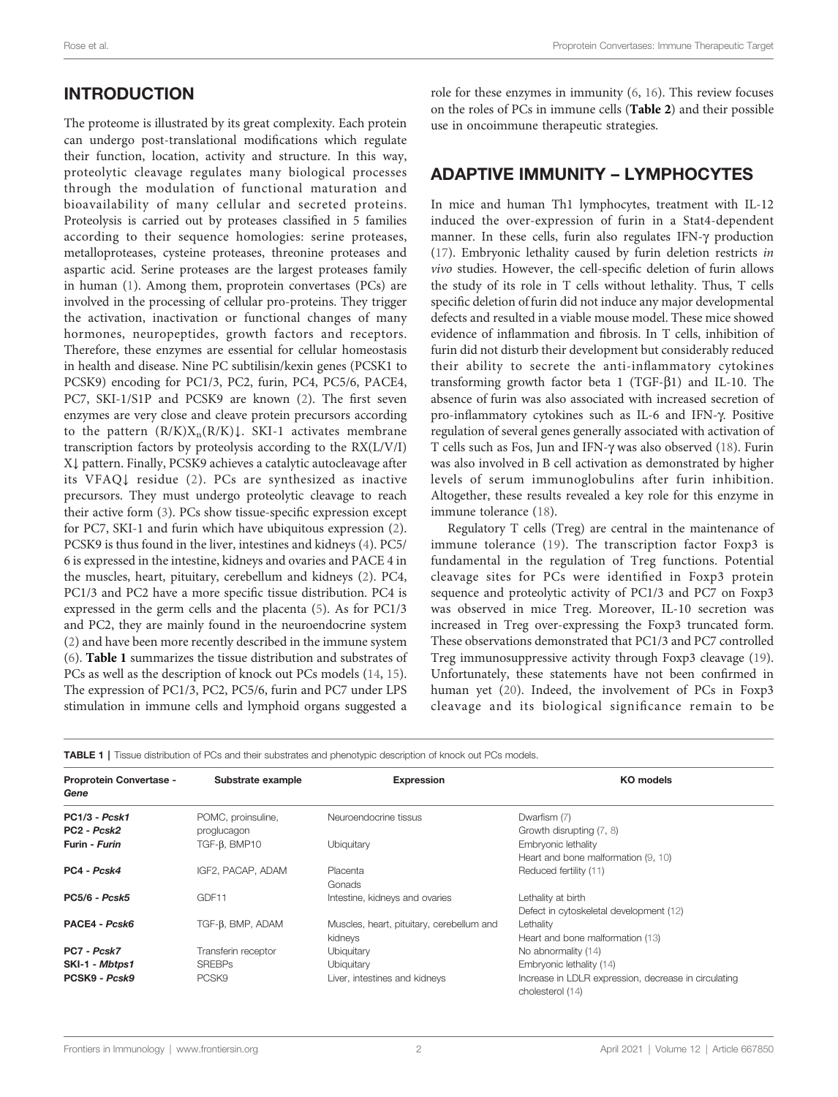# INTRODUCTION

The proteome is illustrated by its great complexity. Each protein can undergo post-translational modifications which regulate their function, location, activity and structure. In this way, proteolytic cleavage regulates many biological processes through the modulation of functional maturation and bioavailability of many cellular and secreted proteins. Proteolysis is carried out by proteases classified in 5 families according to their sequence homologies: serine proteases, metalloproteases, cysteine proteases, threonine proteases and aspartic acid. Serine proteases are the largest proteases family in human [\(1\)](#page-8-0). Among them, proprotein convertases (PCs) are involved in the processing of cellular pro-proteins. They trigger the activation, inactivation or functional changes of many hormones, neuropeptides, growth factors and receptors. Therefore, these enzymes are essential for cellular homeostasis in health and disease. Nine PC subtilisin/kexin genes (PCSK1 to PCSK9) encoding for PC1/3, PC2, furin, PC4, PC5/6, PACE4, PC7, SKI-1/S1P and PCSK9 are known [\(2\)](#page-8-0). The first seven enzymes are very close and cleave protein precursors according to the pattern  $(R/K)X_n(R/K)$ . SKI-1 activates membrane transcription factors by proteolysis according to the RX(L/V/I) X↓ pattern. Finally, PCSK9 achieves a catalytic autocleavage after its VFAQ↓ residue ([2\)](#page-8-0). PCs are synthesized as inactive precursors. They must undergo proteolytic cleavage to reach their active form ([3](#page-8-0)). PCs show tissue-specific expression except for PC7, SKI-1 and furin which have ubiquitous expression [\(2\)](#page-8-0). PCSK9 is thus found in the liver, intestines and kidneys ([4\)](#page-8-0). PC5/ 6 is expressed in the intestine, kidneys and ovaries and PACE 4 in the muscles, heart, pituitary, cerebellum and kidneys ([2](#page-8-0)). PC4, PC1/3 and PC2 have a more specific tissue distribution. PC4 is expressed in the germ cells and the placenta ([5](#page-8-0)). As for PC1/3 and PC2, they are mainly found in the neuroendocrine system ([2](#page-8-0)) and have been more recently described in the immune system ([6](#page-8-0)). Table 1 summarizes the tissue distribution and substrates of PCs as well as the description of knock out PCs models [\(14](#page-8-0), [15\)](#page-8-0). The expression of PC1/3, PC2, PC5/6, furin and PC7 under LPS stimulation in immune cells and lymphoid organs suggested a

role for these enzymes in immunity ([6](#page-8-0), [16](#page-8-0)). This review focuses on the roles of PCs in immune cells ([Table 2](#page-2-0)) and their possible use in oncoimmune therapeutic strategies.

### ADAPTIVE IMMUNITY – LYMPHOCYTES

In mice and human Th1 lymphocytes, treatment with IL-12 induced the over-expression of furin in a Stat4-dependent manner. In these cells, furin also regulates IFN- $\gamma$  production [\(17\)](#page-8-0). Embryonic lethality caused by furin deletion restricts in vivo studies. However, the cell-specific deletion of furin allows the study of its role in T cells without lethality. Thus, T cells specific deletion offurin did not induce any major developmental defects and resulted in a viable mouse model. These mice showed evidence of inflammation and fibrosis. In T cells, inhibition of furin did not disturb their development but considerably reduced their ability to secrete the anti-inflammatory cytokines transforming growth factor beta 1 (TGF- $\beta$ 1) and IL-10. The absence of furin was also associated with increased secretion of pro-inflammatory cytokines such as IL-6 and IFN-g. Positive regulation of several genes generally associated with activation of T cells such as Fos, Jun and IFN-g was also observed ([18](#page-8-0)). Furin was also involved in B cell activation as demonstrated by higher levels of serum immunoglobulins after furin inhibition. Altogether, these results revealed a key role for this enzyme in immune tolerance ([18\)](#page-8-0).

Regulatory T cells (Treg) are central in the maintenance of immune tolerance ([19](#page-8-0)). The transcription factor Foxp3 is fundamental in the regulation of Treg functions. Potential cleavage sites for PCs were identified in Foxp3 protein sequence and proteolytic activity of PC1/3 and PC7 on Foxp3 was observed in mice Treg. Moreover, IL-10 secretion was increased in Treg over-expressing the Foxp3 truncated form. These observations demonstrated that PC1/3 and PC7 controlled Treg immunosuppressive activity through Foxp3 cleavage [\(19\)](#page-8-0). Unfortunately, these statements have not been confirmed in human yet ([20](#page-8-0)). Indeed, the involvement of PCs in Foxp3 cleavage and its biological significance remain to be

|  |  | <b>TABLE 1</b>   Tissue distribution of PCs and their substrates and phenotypic description of knock out PCs models. |
|--|--|----------------------------------------------------------------------------------------------------------------------|
|--|--|----------------------------------------------------------------------------------------------------------------------|

| Proprotein Convertase -<br>Gene     | Substrate example   | <b>Expression</b>                         | <b>KO</b> models                                                         |  |
|-------------------------------------|---------------------|-------------------------------------------|--------------------------------------------------------------------------|--|
| <b>PC1/3 - Pcsk1</b>                | POMC, proinsuline,  | Neuroendocrine tissus                     | Dwarfism (7)                                                             |  |
| PC <sub>2</sub> - Pcsk <sub>2</sub> | proglucagon         |                                           | Growth disrupting (7, 8)                                                 |  |
| Furin - <i>Furin</i>                | $TGF-B$ , $BMP10$   | Ubiquitary                                | Embryonic lethality                                                      |  |
|                                     |                     |                                           | Heart and bone malformation (9, 10)                                      |  |
| PC4 - Pcsk4                         | IGF2, PACAP, ADAM   | Placenta                                  | Reduced fertility (11)                                                   |  |
|                                     |                     | Gonads                                    |                                                                          |  |
| <b>PC5/6 - Pcsk5</b>                | GDF11               | Intestine, kidneys and ovaries            | Lethality at birth                                                       |  |
|                                     |                     |                                           | Defect in cytoskeletal development (12)                                  |  |
| PACE4 - Pcsk6                       | TGF-B, BMP, ADAM    | Muscles, heart, pituitary, cerebellum and | Lethality                                                                |  |
|                                     |                     | kidneys                                   | Heart and bone malformation (13)                                         |  |
| PC7 - Pcsk7                         | Transferin receptor | Ubiquitary                                | No abnormality (14)                                                      |  |
| SKI-1 - Mbtps1                      | <b>SREBPs</b>       | Ubiquitary                                | Embryonic lethality (14)                                                 |  |
| PCSK9 - Pcsk9                       | PCSK9               | Liver, intestines and kidneys             | Increase in LDLR expression, decrease in circulating<br>cholesterol (14) |  |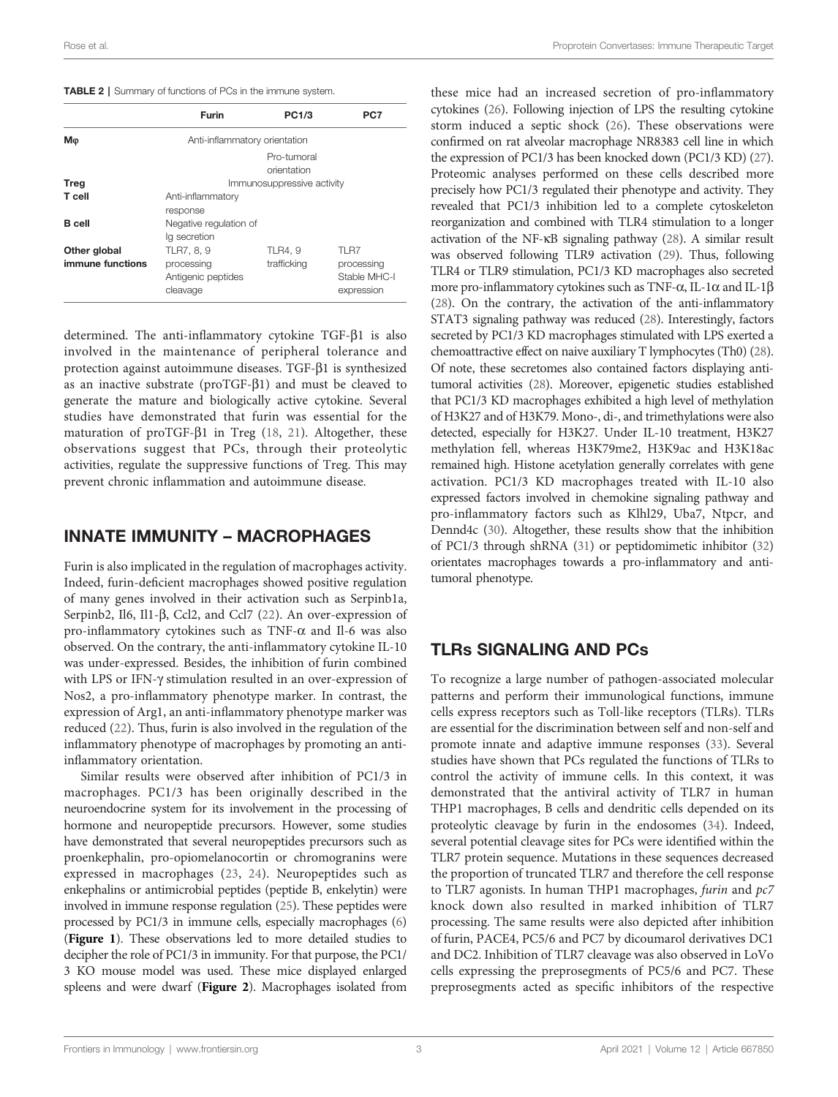#### <span id="page-2-0"></span>TABLE 2 | Summary of functions of PCs in the immune system.

|                                  | <b>Furin</b>                                               | <b>PC1/3</b>                 | PC7                                              |  |  |
|----------------------------------|------------------------------------------------------------|------------------------------|--------------------------------------------------|--|--|
| Mφ                               | Anti-inflammatory orientation                              |                              |                                                  |  |  |
|                                  | Pro-tumoral<br>orientation                                 |                              |                                                  |  |  |
| Treg                             | Immunosuppressive activity                                 |                              |                                                  |  |  |
| T cell                           | Anti-inflammatory<br>response                              |                              |                                                  |  |  |
| <b>B</b> cell                    | Negative regulation of<br>lg secretion                     |                              |                                                  |  |  |
| Other global<br>immune functions | TLR7, 8, 9<br>processing<br>Antigenic peptides<br>cleavage | <b>TLR4.9</b><br>trafficking | TLR7<br>processing<br>Stable MHC-I<br>expression |  |  |

determined. The anti-inflammatory cytokine  $TGF- $\beta$ 1 is also$ involved in the maintenance of peripheral tolerance and protection against autoimmune diseases. TGF- $\beta$ 1 is synthesized as an inactive substrate ( $\text{proTGF-}\beta1$ ) and must be cleaved to generate the mature and biologically active cytokine. Several studies have demonstrated that furin was essential for the maturation of proTGF- $\beta$ 1 in Treg [\(18](#page-8-0), [21\)](#page-8-0). Altogether, these observations suggest that PCs, through their proteolytic activities, regulate the suppressive functions of Treg. This may prevent chronic inflammation and autoimmune disease.

### INNATE IMMUNITY – MACROPHAGES

Furin is also implicated in the regulation of macrophages activity. Indeed, furin-deficient macrophages showed positive regulation of many genes involved in their activation such as Serpinb1a, Serpinb2, Il6, Il1-β, Ccl2, and Ccl7 [\(22](#page-8-0)). An over-expression of pro-inflammatory cytokines such as TNF- $\alpha$  and Il-6 was also observed. On the contrary, the anti-inflammatory cytokine IL-10 was under-expressed. Besides, the inhibition of furin combined with LPS or IFN- $\gamma$  stimulation resulted in an over-expression of Nos2, a pro-inflammatory phenotype marker. In contrast, the expression of Arg1, an anti-inflammatory phenotype marker was reduced [\(22](#page-8-0)). Thus, furin is also involved in the regulation of the inflammatory phenotype of macrophages by promoting an antiinflammatory orientation.

Similar results were observed after inhibition of PC1/3 in macrophages. PC1/3 has been originally described in the neuroendocrine system for its involvement in the processing of hormone and neuropeptide precursors. However, some studies have demonstrated that several neuropeptides precursors such as proenkephalin, pro-opiomelanocortin or chromogranins were expressed in macrophages [\(23,](#page-8-0) [24](#page-8-0)). Neuropeptides such as enkephalins or antimicrobial peptides (peptide B, enkelytin) were involved in immune response regulation ([25\)](#page-8-0). These peptides were processed by PC1/3 in immune cells, especially macrophages [\(6\)](#page-8-0) ([Figure 1](#page-3-0)). These observations led to more detailed studies to decipher the role of PC1/3 in immunity. For that purpose, the PC1/ 3 KO mouse model was used. These mice displayed enlarged spleens and were dwarf ([Figure 2](#page-3-0)). Macrophages isolated from

these mice had an increased secretion of pro-inflammatory cytokines [\(26\)](#page-8-0). Following injection of LPS the resulting cytokine storm induced a septic shock ([26\)](#page-8-0). These observations were confirmed on rat alveolar macrophage NR8383 cell line in which the expression of PC1/3 has been knocked down (PC1/3 KD) [\(27\)](#page-8-0). Proteomic analyses performed on these cells described more precisely how PC1/3 regulated their phenotype and activity. They revealed that PC1/3 inhibition led to a complete cytoskeleton reorganization and combined with TLR4 stimulation to a longer activation of the NF-kB signaling pathway ([28](#page-8-0)). A similar result was observed following TLR9 activation [\(29\)](#page-8-0). Thus, following TLR4 or TLR9 stimulation, PC1/3 KD macrophages also secreted more pro-inflammatory cytokines such as TNF- $\alpha$ , IL-1 $\alpha$  and IL-1 $\beta$ [\(28](#page-8-0)). On the contrary, the activation of the anti-inflammatory STAT3 signaling pathway was reduced ([28](#page-8-0)). Interestingly, factors secreted by PC1/3 KD macrophages stimulated with LPS exerted a chemoattractive effect on naive auxiliary T lymphocytes (Th0) [\(28\)](#page-8-0). Of note, these secretomes also contained factors displaying antitumoral activities [\(28\)](#page-8-0). Moreover, epigenetic studies established that PC1/3 KD macrophages exhibited a high level of methylation of H3K27 and of H3K79. Mono-, di-, and trimethylations were also detected, especially for H3K27. Under IL-10 treatment, H3K27 methylation fell, whereas H3K79me2, H3K9ac and H3K18ac remained high. Histone acetylation generally correlates with gene activation. PC1/3 KD macrophages treated with IL-10 also expressed factors involved in chemokine signaling pathway and pro-inflammatory factors such as Klhl29, Uba7, Ntpcr, and Dennd4c ([30](#page-8-0)). Altogether, these results show that the inhibition of PC1/3 through shRNA [\(31](#page-8-0)) or peptidomimetic inhibitor ([32\)](#page-8-0) orientates macrophages towards a pro-inflammatory and antitumoral phenotype.

### TLRs SIGNALING AND PCs

To recognize a large number of pathogen-associated molecular patterns and perform their immunological functions, immune cells express receptors such as Toll-like receptors (TLRs). TLRs are essential for the discrimination between self and non-self and promote innate and adaptive immune responses ([33\)](#page-8-0). Several studies have shown that PCs regulated the functions of TLRs to control the activity of immune cells. In this context, it was demonstrated that the antiviral activity of TLR7 in human THP1 macrophages, B cells and dendritic cells depended on its proteolytic cleavage by furin in the endosomes ([34\)](#page-8-0). Indeed, several potential cleavage sites for PCs were identified within the TLR7 protein sequence. Mutations in these sequences decreased the proportion of truncated TLR7 and therefore the cell response to TLR7 agonists. In human THP1 macrophages, furin and pc7 knock down also resulted in marked inhibition of TLR7 processing. The same results were also depicted after inhibition of furin, PACE4, PC5/6 and PC7 by dicoumarol derivatives DC1 and DC2. Inhibition of TLR7 cleavage was also observed in LoVo cells expressing the preprosegments of PC5/6 and PC7. These preprosegments acted as specific inhibitors of the respective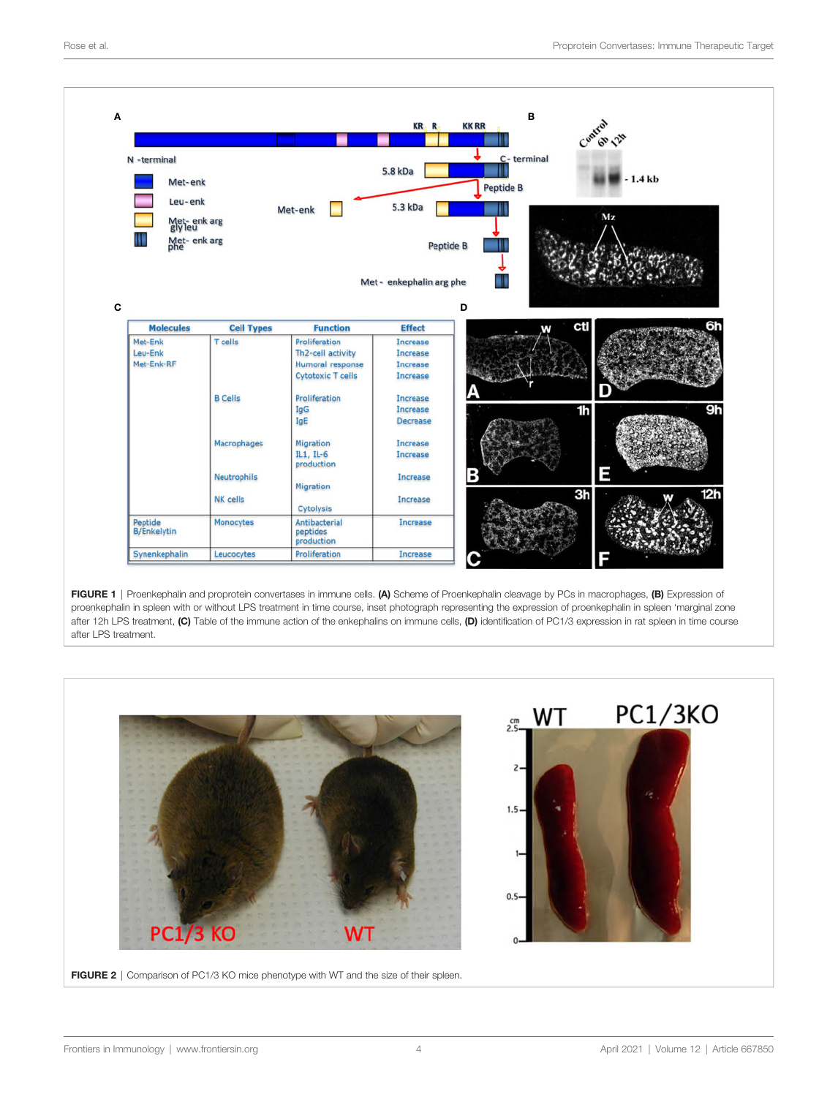<span id="page-3-0"></span>

FIGURE 1 | Proenkephalin and proprotein convertases in immune cells. (A) Scheme of Proenkephalin cleavage by PCs in macrophages, (B) Expression of proenkephalin in spleen with or without LPS treatment in time course, inset photograph representing the expression of proenkephalin in spleen 'marginal zone after 12h LPS treatment, (C) Table of the immune action of the enkephalins on immune cells, (D) identification of PC1/3 expression in rat spleen in time course after LPS treatment.

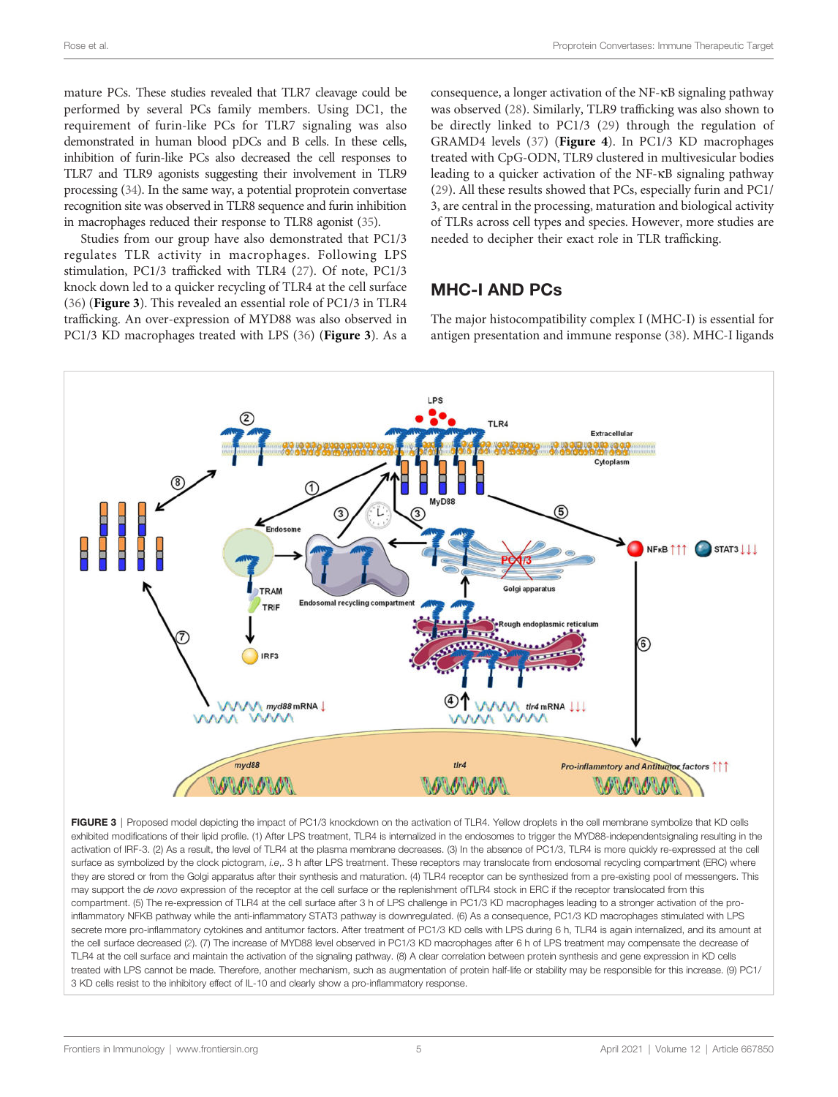mature PCs. These studies revealed that TLR7 cleavage could be performed by several PCs family members. Using DC1, the requirement of furin-like PCs for TLR7 signaling was also demonstrated in human blood pDCs and B cells. In these cells, inhibition of furin-like PCs also decreased the cell responses to TLR7 and TLR9 agonists suggesting their involvement in TLR9 processing [\(34\)](#page-8-0). In the same way, a potential proprotein convertase recognition site was observed in TLR8 sequence and furin inhibition in macrophages reduced their response to TLR8 agonist [\(35\)](#page-8-0).

Studies from our group have also demonstrated that PC1/3 regulates TLR activity in macrophages. Following LPS stimulation, PC1/3 trafficked with TLR4 ([27\)](#page-8-0). Of note, PC1/3 knock down led to a quicker recycling of TLR4 at the cell surface ([36\)](#page-8-0) (Figure 3). This revealed an essential role of PC1/3 in TLR4 trafficking. An over-expression of MYD88 was also observed in PC1/3 KD macrophages treated with LPS ([36\)](#page-8-0) (Figure 3). As a

consequence, a longer activation of the NF-kB signaling pathway was observed ([28\)](#page-8-0). Similarly, TLR9 trafficking was also shown to be directly linked to PC1/3 ([29\)](#page-8-0) through the regulation of GRAMD4 levels [\(37\)](#page-8-0) ([Figure 4](#page-5-0)). In PC1/3 KD macrophages treated with CpG-ODN, TLR9 clustered in multivesicular bodies leading to a quicker activation of the NF-kB signaling pathway [\(29\)](#page-8-0). All these results showed that PCs, especially furin and PC1/ 3, are central in the processing, maturation and biological activity of TLRs across cell types and species. However, more studies are needed to decipher their exact role in TLR trafficking.

### MHC-I AND PCs

The major histocompatibility complex I (MHC-I) is essential for antigen presentation and immune response ([38\)](#page-9-0). MHC-I ligands



FIGURE 3 | Proposed model depicting the impact of PC1/3 knockdown on the activation of TLR4. Yellow droplets in the cell membrane symbolize that KD cells exhibited modifications of their lipid profile. (1) After LPS treatment, TLR4 is internalized in the endosomes to trigger the MYD88-independentsignaling resulting in the activation of IRF-3. (2) As a result, the level of TLR4 at the plasma membrane decreases. (3) In the absence of PC1/3, TLR4 is more quickly re-expressed at the cell surface as symbolized by the clock pictogram, *i.e*,. 3 h after LPS treatment. These receptors may translocate from endosomal recycling compartment (ERC) where they are stored or from the Golgi apparatus after their synthesis and maturation. (4) TLR4 receptor can be synthesized from a pre-existing pool of messengers. This may support the *de novo* expression of the receptor at the cell surface or the replenishment ofTLR4 stock in ERC if the receptor translocated from this compartment. (5) The re-expression of TLR4 at the cell surface after 3 h of LPS challenge in PC1/3 KD macrophages leading to a stronger activation of the proinflammatory NFKB pathway while the anti-inflammatory STAT3 pathway is downregulated. (6) As a consequence, PC1/3 KD macrophages stimulated with LPS secrete more pro-inflammatory cytokines and antitumor factors. After treatment of PC1/3 KD cells with LPS during 6 h, TLR4 is again internalized, and its amount at the cell surface decreased ([2\)](#page-8-0). (7) The increase of MYD88 level observed in PC1/3 KD macrophages after 6 h of LPS treatment may compensate the decrease of TLR4 at the cell surface and maintain the activation of the signaling pathway. (8) A clear correlation between protein synthesis and gene expression in KD cells treated with LPS cannot be made. Therefore, another mechanism, such as augmentation of protein half-life or stability may be responsible for this increase. (9) PC1/ 3 KD cells resist to the inhibitory effect of IL-10 and clearly show a pro-inflammatory response.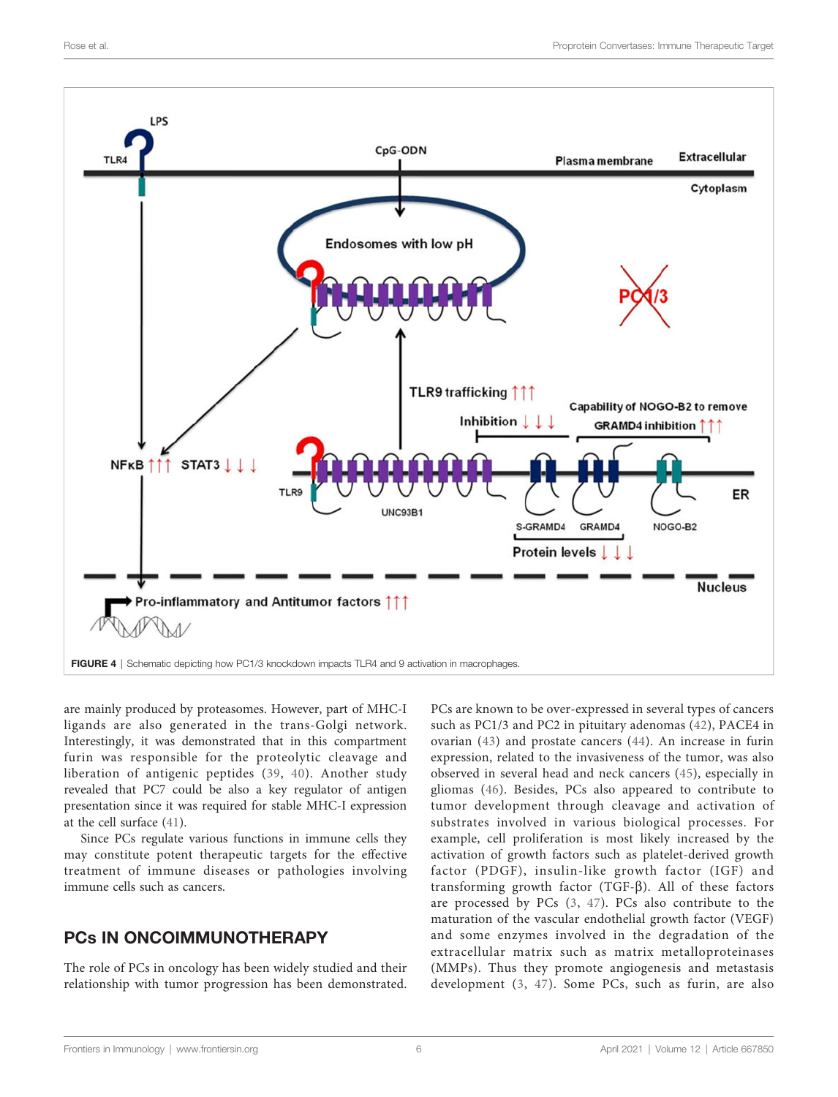<span id="page-5-0"></span>

are mainly produced by proteasomes. However, part of MHC-I ligands are also generated in the trans-Golgi network. Interestingly, it was demonstrated that in this compartment furin was responsible for the proteolytic cleavage and liberation of antigenic peptides ([39](#page-9-0), [40\)](#page-9-0). Another study revealed that PC7 could be also a key regulator of antigen presentation since it was required for stable MHC-I expression at the cell surface [\(41](#page-9-0)).

Since PCs regulate various functions in immune cells they may constitute potent therapeutic targets for the effective treatment of immune diseases or pathologies involving immune cells such as cancers.

# PCs IN ONCOIMMUNOTHERAPY

The role of PCs in oncology has been widely studied and their relationship with tumor progression has been demonstrated.

PCs are known to be over-expressed in several types of cancers such as PC1/3 and PC2 in pituitary adenomas [\(42\)](#page-9-0), PACE4 in ovarian ([43](#page-9-0)) and prostate cancers ([44\)](#page-9-0). An increase in furin expression, related to the invasiveness of the tumor, was also observed in several head and neck cancers ([45](#page-9-0)), especially in gliomas ([46\)](#page-9-0). Besides, PCs also appeared to contribute to tumor development through cleavage and activation of substrates involved in various biological processes. For example, cell proliferation is most likely increased by the activation of growth factors such as platelet-derived growth factor (PDGF), insulin-like growth factor (IGF) and transforming growth factor (TGF- $\beta$ ). All of these factors are processed by PCs [\(3](#page-8-0), [47\)](#page-9-0). PCs also contribute to the maturation of the vascular endothelial growth factor (VEGF) and some enzymes involved in the degradation of the extracellular matrix such as matrix metalloproteinases (MMPs). Thus they promote angiogenesis and metastasis development ([3,](#page-8-0) [47\)](#page-9-0). Some PCs, such as furin, are also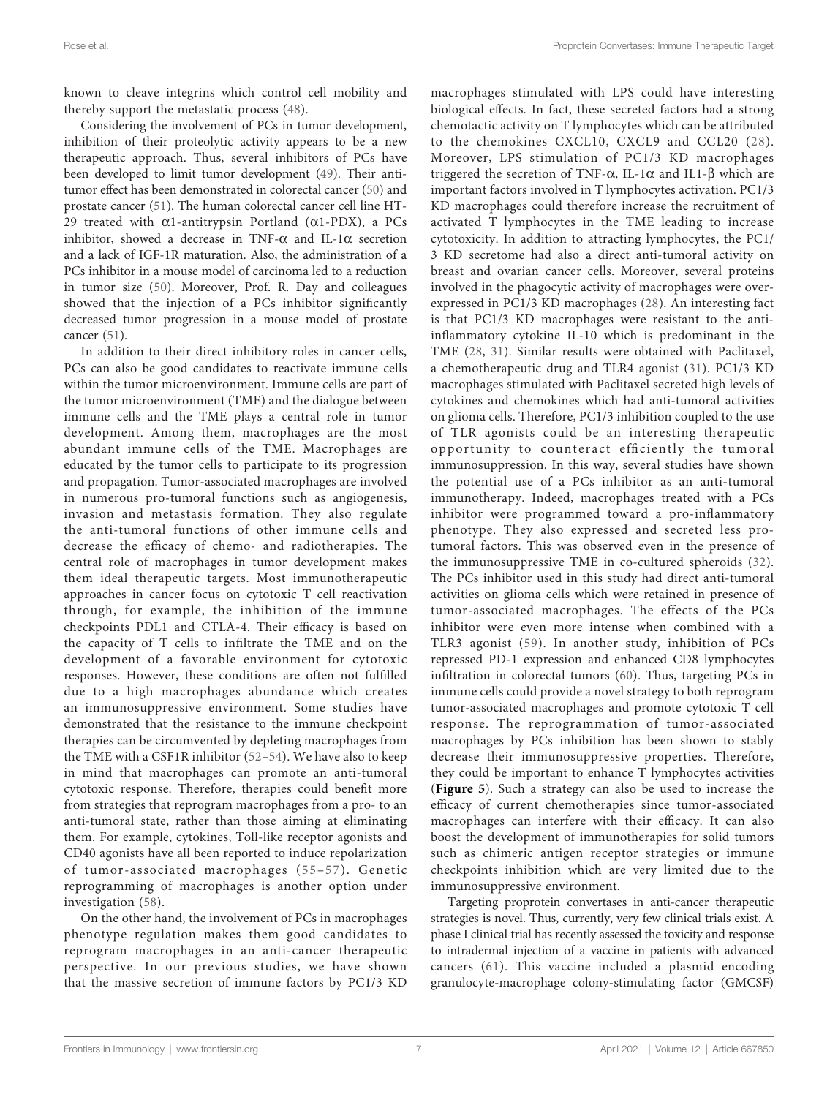known to cleave integrins which control cell mobility and thereby support the metastatic process [\(48\)](#page-9-0).

Considering the involvement of PCs in tumor development, inhibition of their proteolytic activity appears to be a new therapeutic approach. Thus, several inhibitors of PCs have been developed to limit tumor development ([49\)](#page-9-0). Their antitumor effect has been demonstrated in colorectal cancer [\(50\)](#page-9-0) and prostate cancer [\(51](#page-9-0)). The human colorectal cancer cell line HT-29 treated with  $\alpha$ 1-antitrypsin Portland ( $\alpha$ 1-PDX), a PCs inhibitor, showed a decrease in TNF- $\alpha$  and IL-1 $\alpha$  secretion and a lack of IGF-1R maturation. Also, the administration of a PCs inhibitor in a mouse model of carcinoma led to a reduction in tumor size [\(50\)](#page-9-0). Moreover, Prof. R. Day and colleagues showed that the injection of a PCs inhibitor significantly decreased tumor progression in a mouse model of prostate cancer [\(51](#page-9-0)).

In addition to their direct inhibitory roles in cancer cells, PCs can also be good candidates to reactivate immune cells within the tumor microenvironment. Immune cells are part of the tumor microenvironment (TME) and the dialogue between immune cells and the TME plays a central role in tumor development. Among them, macrophages are the most abundant immune cells of the TME. Macrophages are educated by the tumor cells to participate to its progression and propagation. Tumor-associated macrophages are involved in numerous pro-tumoral functions such as angiogenesis, invasion and metastasis formation. They also regulate the anti-tumoral functions of other immune cells and decrease the efficacy of chemo- and radiotherapies. The central role of macrophages in tumor development makes them ideal therapeutic targets. Most immunotherapeutic approaches in cancer focus on cytotoxic T cell reactivation through, for example, the inhibition of the immune checkpoints PDL1 and CTLA-4. Their efficacy is based on the capacity of T cells to infiltrate the TME and on the development of a favorable environment for cytotoxic responses. However, these conditions are often not fulfilled due to a high macrophages abundance which creates an immunosuppressive environment. Some studies have demonstrated that the resistance to the immune checkpoint therapies can be circumvented by depleting macrophages from the TME with a CSF1R inhibitor ([52](#page-9-0)–[54](#page-9-0)). We have also to keep in mind that macrophages can promote an anti-tumoral cytotoxic response. Therefore, therapies could benefit more from strategies that reprogram macrophages from a pro- to an anti-tumoral state, rather than those aiming at eliminating them. For example, cytokines, Toll-like receptor agonists and CD40 agonists have all been reported to induce repolarization of tumor-associated macrophages ([55](#page-9-0)–[57](#page-9-0)). Genetic reprogramming of macrophages is another option under investigation ([58](#page-9-0)).

On the other hand, the involvement of PCs in macrophages phenotype regulation makes them good candidates to reprogram macrophages in an anti-cancer therapeutic perspective. In our previous studies, we have shown that the massive secretion of immune factors by PC1/3 KD

macrophages stimulated with LPS could have interesting biological effects. In fact, these secreted factors had a strong chemotactic activity on T lymphocytes which can be attributed to the chemokines CXCL10, CXCL9 and CCL20 ([28](#page-8-0)). Moreover, LPS stimulation of PC1/3 KD macrophages triggered the secretion of TNF- $\alpha$ , IL-1 $\alpha$  and IL1- $\beta$  which are important factors involved in T lymphocytes activation. PC1/3 KD macrophages could therefore increase the recruitment of activated T lymphocytes in the TME leading to increase cytotoxicity. In addition to attracting lymphocytes, the PC1/ 3 KD secretome had also a direct anti-tumoral activity on breast and ovarian cancer cells. Moreover, several proteins involved in the phagocytic activity of macrophages were overexpressed in PC1/3 KD macrophages ([28](#page-8-0)). An interesting fact is that PC1/3 KD macrophages were resistant to the antiinflammatory cytokine IL-10 which is predominant in the TME [\(28,](#page-8-0) [31](#page-8-0)). Similar results were obtained with Paclitaxel, a chemotherapeutic drug and TLR4 agonist ([31](#page-8-0)). PC1/3 KD macrophages stimulated with Paclitaxel secreted high levels of cytokines and chemokines which had anti-tumoral activities on glioma cells. Therefore, PC1/3 inhibition coupled to the use of TLR agonists could be an interesting therapeutic opportunity to counteract efficiently the tumoral immunosuppression. In this way, several studies have shown the potential use of a PCs inhibitor as an anti-tumoral immunotherapy. Indeed, macrophages treated with a PCs inhibitor were programmed toward a pro-inflammatory phenotype. They also expressed and secreted less protumoral factors. This was observed even in the presence of the immunosuppressive TME in co-cultured spheroids ([32](#page-8-0)). The PCs inhibitor used in this study had direct anti-tumoral activities on glioma cells which were retained in presence of tumor-associated macrophages. The effects of the PCs inhibitor were even more intense when combined with a TLR3 agonist [\(59](#page-9-0)). In another study, inhibition of PCs repressed PD-1 expression and enhanced CD8 lymphocytes infiltration in colorectal tumors [\(60\)](#page-9-0). Thus, targeting PCs in immune cells could provide a novel strategy to both reprogram tumor-associated macrophages and promote cytotoxic T cell response. The reprogrammation of tumor-associated macrophages by PCs inhibition has been shown to stably decrease their immunosuppressive properties. Therefore, they could be important to enhance T lymphocytes activities ([Figure 5](#page-7-0)). Such a strategy can also be used to increase the efficacy of current chemotherapies since tumor-associated macrophages can interfere with their efficacy. It can also boost the development of immunotherapies for solid tumors such as chimeric antigen receptor strategies or immune checkpoints inhibition which are very limited due to the immunosuppressive environment.

Targeting proprotein convertases in anti-cancer therapeutic strategies is novel. Thus, currently, very few clinical trials exist. A phase I clinical trial has recently assessed the toxicity and response to intradermal injection of a vaccine in patients with advanced cancers [\(61](#page-9-0)). This vaccine included a plasmid encoding granulocyte-macrophage colony-stimulating factor (GMCSF)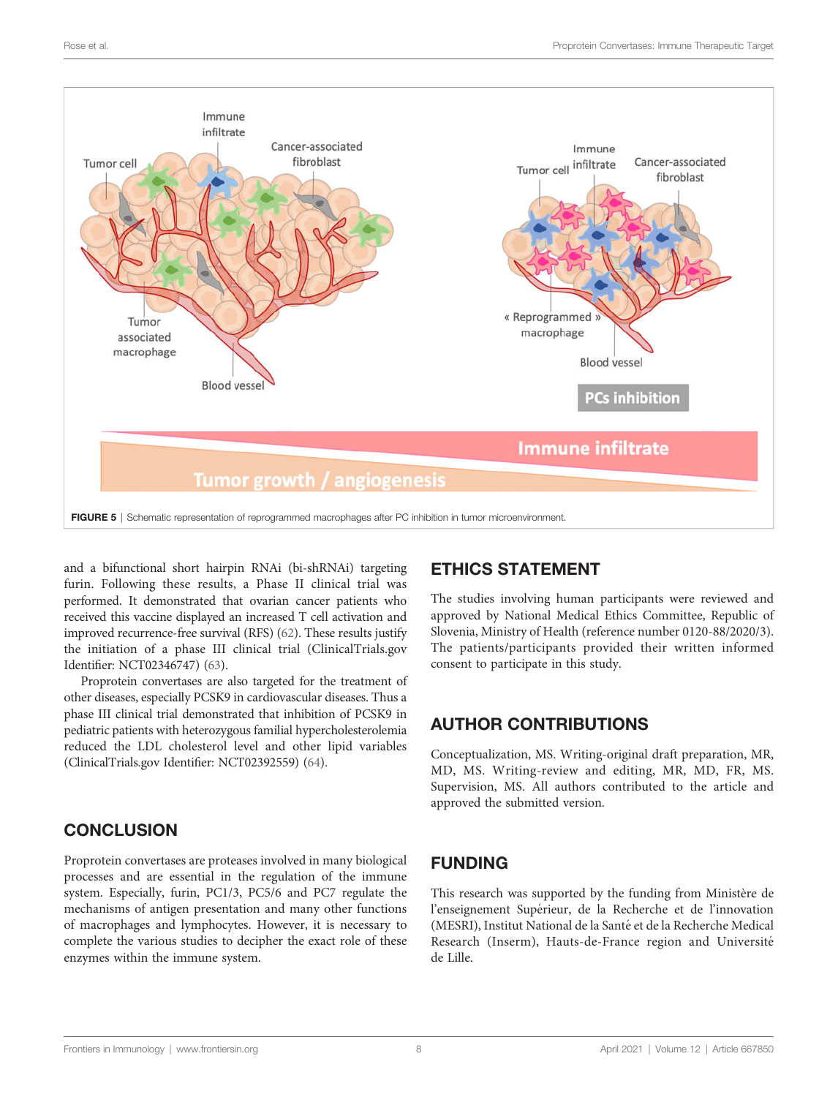<span id="page-7-0"></span>

and a bifunctional short hairpin RNAi (bi-shRNAi) targeting furin. Following these results, a Phase II clinical trial was performed. It demonstrated that ovarian cancer patients who received this vaccine displayed an increased T cell activation and improved recurrence-free survival (RFS) ([62\)](#page-9-0). These results justify the initiation of a phase III clinical trial (ClinicalTrials.gov Identifier: NCT02346747) ([63\)](#page-9-0).

Proprotein convertases are also targeted for the treatment of other diseases, especially PCSK9 in cardiovascular diseases. Thus a phase III clinical trial demonstrated that inhibition of PCSK9 in pediatric patients with heterozygous familial hypercholesterolemia reduced the LDL cholesterol level and other lipid variables (ClinicalTrials.gov Identifier: NCT02392559) ([64\)](#page-9-0).

# **CONCLUSION**

Proprotein convertases are proteases involved in many biological processes and are essential in the regulation of the immune system. Especially, furin, PC1/3, PC5/6 and PC7 regulate the mechanisms of antigen presentation and many other functions of macrophages and lymphocytes. However, it is necessary to complete the various studies to decipher the exact role of these enzymes within the immune system.

# ETHICS STATEMENT

The studies involving human participants were reviewed and approved by National Medical Ethics Committee, Republic of Slovenia, Ministry of Health (reference number 0120-88/2020/3). The patients/participants provided their written informed consent to participate in this study.

# AUTHOR CONTRIBUTIONS

Conceptualization, MS. Writing-original draft preparation, MR, MD, MS. Writing-review and editing, MR, MD, FR, MS. Supervision, MS. All authors contributed to the article and approved the submitted version.

# FUNDING

This research was supported by the funding from Ministère de l'enseignement Supérieur, de la Recherche et de l'innovation (MESRI), Institut National de la Santé et de la Recherche Medical Research (Inserm), Hauts-de-France region and Université de Lille.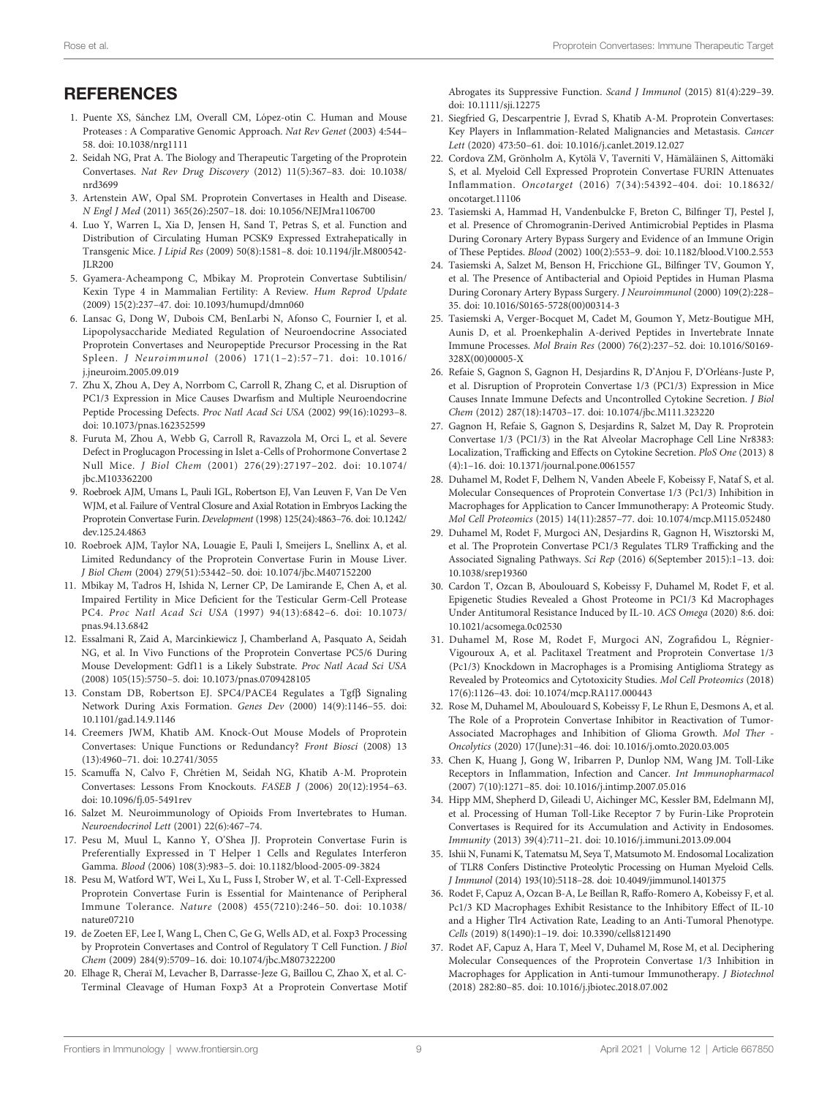### <span id="page-8-0"></span>**REFERENCES**

- 1. Puente XS, Sánchez LM, Overall CM, López-otín C. Human and Mouse Proteases : A Comparative Genomic Approach. Nat Rev Genet (2003) 4:544– 58. doi: [10.1038/nrg1111](https://doi.org/10.1038/nrg1111)
- 2. Seidah NG, Prat A. The Biology and Therapeutic Targeting of the Proprotein Convertases. Nat Rev Drug Discovery (2012) 11(5):367–83. doi: [10.1038/](https://doi.org/10.1038/nrd3699) [nrd3699](https://doi.org/10.1038/nrd3699)
- 3. Artenstein AW, Opal SM. Proprotein Convertases in Health and Disease. N Engl J Med (2011) 365(26):2507–18. doi: [10.1056/NEJMra1106700](https://doi.org/10.1056/NEJMra1106700)
- 4. Luo Y, Warren L, Xia D, Jensen H, Sand T, Petras S, et al. Function and Distribution of Circulating Human PCSK9 Expressed Extrahepatically in Transgenic Mice. J Lipid Res (2009) 50(8):1581–8. doi: [10.1194/jlr.M800542-](https://doi.org/10.1194/jlr.M800542-JLR200)  $II$ R<sub>200</sub>
- 5. Gyamera-Acheampong C, Mbikay M. Proprotein Convertase Subtilisin/ Kexin Type 4 in Mammalian Fertility: A Review. Hum Reprod Update (2009) 15(2):237–47. doi: [10.1093/humupd/dmn060](https://doi.org/10.1093/humupd/dmn060)
- 6. Lansac G, Dong W, Dubois CM, BenLarbi N, Afonso C, Fournier I, et al. Lipopolysaccharide Mediated Regulation of Neuroendocrine Associated Proprotein Convertases and Neuropeptide Precursor Processing in the Rat Spleen. J Neuroimmunol (2006) 171(1–2):57–71. doi: [10.1016/](https://doi.org/10.1016/j.jneuroim.2005.09.019) [j.jneuroim.2005.09.019](https://doi.org/10.1016/j.jneuroim.2005.09.019)
- 7. Zhu X, Zhou A, Dey A, Norrbom C, Carroll R, Zhang C, et al. Disruption of PC1/3 Expression in Mice Causes Dwarfism and Multiple Neuroendocrine Peptide Processing Defects. Proc Natl Acad Sci USA (2002) 99(16):10293–8. doi: [10.1073/pnas.162352599](https://doi.org/10.1073/pnas.162352599)
- 8. Furuta M, Zhou A, Webb G, Carroll R, Ravazzola M, Orci L, et al. Severe Defect in Proglucagon Processing in Islet a-Cells of Prohormone Convertase 2 Null Mice. J Biol Chem (2001) 276(29):27197–202. doi: [10.1074/](https://doi.org/10.1074/jbc.M103362200) [jbc.M103362200](https://doi.org/10.1074/jbc.M103362200)
- 9. Roebroek AJM, Umans L, Pauli IGL, Robertson EJ, Van Leuven F, Van De Ven WJM, et al. Failure of Ventral Closure and Axial Rotation in Embryos Lacking the Proprotein Convertase Furin. Development (1998) 125(24):4863–76. doi: [10.1242/](https://doi.org/10.1242/dev.125.24.4863) [dev.125.24.4863](https://doi.org/10.1242/dev.125.24.4863)
- 10. Roebroek AJM, Taylor NA, Louagie E, Pauli I, Smeijers L, Snellinx A, et al. Limited Redundancy of the Proprotein Convertase Furin in Mouse Liver. J Biol Chem (2004) 279(51):53442–50. doi: [10.1074/jbc.M407152200](https://doi.org/10.1074/jbc.M407152200)
- 11. Mbikay M, Tadros H, Ishida N, Lerner CP, De Lamirande E, Chen A, et al. Impaired Fertility in Mice Deficient for the Testicular Germ-Cell Protease PC4. Proc Natl Acad Sci USA (1997) 94(13):6842–6. doi: [10.1073/](https://doi.org/10.1073/pnas.94.13.6842) [pnas.94.13.6842](https://doi.org/10.1073/pnas.94.13.6842)
- 12. Essalmani R, Zaid A, Marcinkiewicz J, Chamberland A, Pasquato A, Seidah NG, et al. In Vivo Functions of the Proprotein Convertase PC5/6 During Mouse Development: Gdf11 is a Likely Substrate. Proc Natl Acad Sci USA (2008) 105(15):5750–5. doi: [10.1073/pnas.0709428105](https://doi.org/10.1073/pnas.0709428105)
- 13. Constam DB, Robertson EJ. SPC4/PACE4 Regulates a Tgfß Signaling Network During Axis Formation. Genes Dev (2000) 14(9):1146–55. doi: [10.1101/gad.14.9.1146](https://doi.org/10.1101/gad.14.9.1146)
- 14. Creemers JWM, Khatib AM. Knock-Out Mouse Models of Proprotein Convertases: Unique Functions or Redundancy? Front Biosci (2008) 13 (13):4960–71. doi: [10.2741/3055](https://doi.org/10.2741/3055)
- 15. Scamuffa N, Calvo F, Chrétien M, Seidah NG, Khatib A-M. Proprotein Convertases: Lessons From Knockouts. FASEB J (2006) 20(12):1954–63. doi: [10.1096/fj.05-5491rev](https://doi.org/10.1096/fj.05-5491rev)
- 16. Salzet M. Neuroimmunology of Opioids From Invertebrates to Human. Neuroendocrinol Lett (2001) 22(6):467–74.
- 17. Pesu M, Muul L, Kanno Y, O'Shea JJ. Proprotein Convertase Furin is Preferentially Expressed in T Helper 1 Cells and Regulates Interferon Gamma. Blood (2006) 108(3):983–5. doi: [10.1182/blood-2005-09-3824](https://doi.org/10.1182/blood-2005-09-3824)
- 18. Pesu M, Watford WT, Wei L, Xu L, Fuss I, Strober W, et al. T-Cell-Expressed Proprotein Convertase Furin is Essential for Maintenance of Peripheral Immune Tolerance. Nature (2008) 455(7210):246–50. doi: [10.1038/](https://doi.org/10.1038/nature07210) [nature07210](https://doi.org/10.1038/nature07210)
- 19. de Zoeten EF, Lee I, Wang L, Chen C, Ge G, Wells AD, et al. Foxp3 Processing by Proprotein Convertases and Control of Regulatory T Cell Function. J Biol Chem (2009) 284(9):5709–16. doi: [10.1074/jbc.M807322200](https://doi.org/10.1074/jbc.M807322200)
- 20. Elhage R, Cheraï M, Levacher B, Darrasse-Jeze G, Baillou C, Zhao X, et al. C-Terminal Cleavage of Human Foxp3 At a Proprotein Convertase Motif

Abrogates its Suppressive Function. Scand J Immunol (2015) 81(4):229–39. doi: [10.1111/sji.12275](https://doi.org/10.1111/sji.12275)

- 21. Siegfried G, Descarpentrie J, Evrad S, Khatib A-M. Proprotein Convertases: Key Players in Inflammation-Related Malignancies and Metastasis. Cancer Lett (2020) 473:50–61. doi: [10.1016/j.canlet.2019.12.027](https://doi.org/10.1016/j.canlet.2019.12.027)
- 22. Cordova ZM, Grönholm A, Kytölä V, Taverniti V, Hämäläinen S, Aittomäki S, et al. Myeloid Cell Expressed Proprotein Convertase FURIN Attenuates Inflammation. Oncotarget (2016) 7(34):54392–404. doi: [10.18632/](https://doi.org/10.18632/oncotarget.11106) [oncotarget.11106](https://doi.org/10.18632/oncotarget.11106)
- 23. Tasiemski A, Hammad H, Vandenbulcke F, Breton C, Bilfinger TJ, Pestel J, et al. Presence of Chromogranin-Derived Antimicrobial Peptides in Plasma During Coronary Artery Bypass Surgery and Evidence of an Immune Origin of These Peptides. Blood (2002) 100(2):553–9. doi: [10.1182/blood.V100.2.553](https://doi.org/10.1182/blood.V100.2.553)
- 24. Tasiemski A, Salzet M, Benson H, Fricchione GL, Bilfinger TV, Goumon Y, et al. The Presence of Antibacterial and Opioid Peptides in Human Plasma During Coronary Artery Bypass Surgery. J Neuroimmunol (2000) 109(2):228– 35. doi: [10.1016/S0165-5728\(00\)00314-3](https://doi.org/10.1016/S0165-5728(00)00314-3)
- 25. Tasiemski A, Verger-Bocquet M, Cadet M, Goumon Y, Metz-Boutigue MH, Aunis D, et al. Proenkephalin A-derived Peptides in Invertebrate Innate Immune Processes. Mol Brain Res (2000) 76(2):237–52. doi: [10.1016/S0169-](https://doi.org/10.1016/S0169-328X(00)00005-X) [328X\(00\)00005-X](https://doi.org/10.1016/S0169-328X(00)00005-X)
- 26. Refaie S, Gagnon S, Gagnon H, Desjardins R, D'Anjou F, D'Orléans-Juste P, et al. Disruption of Proprotein Convertase 1/3 (PC1/3) Expression in Mice Causes Innate Immune Defects and Uncontrolled Cytokine Secretion. J Biol Chem (2012) 287(18):14703–17. doi: [10.1074/jbc.M111.323220](https://doi.org/10.1074/jbc.M111.323220)
- 27. Gagnon H, Refaie S, Gagnon S, Desjardins R, Salzet M, Day R. Proprotein Convertase 1/3 (PC1/3) in the Rat Alveolar Macrophage Cell Line Nr8383: Localization, Trafficking and Effects on Cytokine Secretion. PloS One (2013) 8 (4):1–16. doi: [10.1371/journal.pone.0061557](https://doi.org/10.1371/journal.pone.0061557)
- 28. Duhamel M, Rodet F, Delhem N, Vanden Abeele F, Kobeissy F, Nataf S, et al. Molecular Consequences of Proprotein Convertase 1/3 (Pc1/3) Inhibition in Macrophages for Application to Cancer Immunotherapy: A Proteomic Study. Mol Cell Proteomics (2015) 14(11):2857–77. doi: [10.1074/mcp.M115.052480](https://doi.org/10.1074/mcp.M115.052480)
- 29. Duhamel M, Rodet F, Murgoci AN, Desjardins R, Gagnon H, Wisztorski M, et al. The Proprotein Convertase PC1/3 Regulates TLR9 Trafficking and the Associated Signaling Pathways. Sci Rep (2016) 6(September 2015):1–13. doi: [10.1038/srep19360](https://doi.org/10.1038/srep19360)
- 30. Cardon T, Ozcan B, Aboulouard S, Kobeissy F, Duhamel M, Rodet F, et al. Epigenetic Studies Revealed a Ghost Proteome in PC1/3 Kd Macrophages Under Antitumoral Resistance Induced by IL-10. ACS Omega (2020) 8:6. doi: [10.1021/acsomega.0c02530](https://doi.org/10.1021/acsomega.0c02530)
- 31. Duhamel M, Rose M, Rodet F, Murgoci AN, Zografidou L, Régnier-Vigouroux A, et al. Paclitaxel Treatment and Proprotein Convertase 1/3 (Pc1/3) Knockdown in Macrophages is a Promising Antiglioma Strategy as Revealed by Proteomics and Cytotoxicity Studies. Mol Cell Proteomics (2018) 17(6):1126–43. doi: [10.1074/mcp.RA117.000443](https://doi.org/10.1074/mcp.RA117.000443)
- 32. Rose M, Duhamel M, Aboulouard S, Kobeissy F, Le Rhun E, Desmons A, et al. The Role of a Proprotein Convertase Inhibitor in Reactivation of Tumor-Associated Macrophages and Inhibition of Glioma Growth. Mol Ther - Oncolytics (2020) 17(June):31–46. doi: [10.1016/j.omto.2020.03.005](https://doi.org/10.1016/j.omto.2020.03.005)
- 33. Chen K, Huang J, Gong W, Iribarren P, Dunlop NM, Wang JM. Toll-Like Receptors in Inflammation, Infection and Cancer. Int Immunopharmacol (2007) 7(10):1271–85. doi: [10.1016/j.intimp.2007.05.016](https://doi.org/10.1016/j.intimp.2007.05.016)
- 34. Hipp MM, Shepherd D, Gileadi U, Aichinger MC, Kessler BM, Edelmann MJ, et al. Processing of Human Toll-Like Receptor 7 by Furin-Like Proprotein Convertases is Required for its Accumulation and Activity in Endosomes. Immunity (2013) 39(4):711–21. doi: [10.1016/j.immuni.2013.09.004](https://doi.org/10.1016/j.immuni.2013.09.004)
- 35. Ishii N, Funami K, Tatematsu M, Seya T, Matsumoto M. Endosomal Localization of TLR8 Confers Distinctive Proteolytic Processing on Human Myeloid Cells. J Immunol (2014) 193(10):5118–28. doi: [10.4049/jimmunol.1401375](https://doi.org/10.4049/jimmunol.1401375)
- 36. Rodet F, Capuz A, Ozcan B-A, Le Beillan R, Raffo-Romero A, Kobeissy F, et al. Pc1/3 KD Macrophages Exhibit Resistance to the Inhibitory Effect of IL-10 and a Higher Tlr4 Activation Rate, Leading to an Anti-Tumoral Phenotype. Cells (2019) 8(1490):1–19. doi: [10.3390/cells8121490](https://doi.org/10.3390/cells8121490)
- 37. Rodet AF, Capuz A, Hara T, Meel V, Duhamel M, Rose M, et al. Deciphering Molecular Consequences of the Proprotein Convertase 1/3 Inhibition in Macrophages for Application in Anti-tumour Immunotherapy. J Biotechnol (2018) 282:80–85. doi: [10.1016/j.jbiotec.2018.07.002](https://doi.org/10.1016/j.jbiotec.2018.07.002)